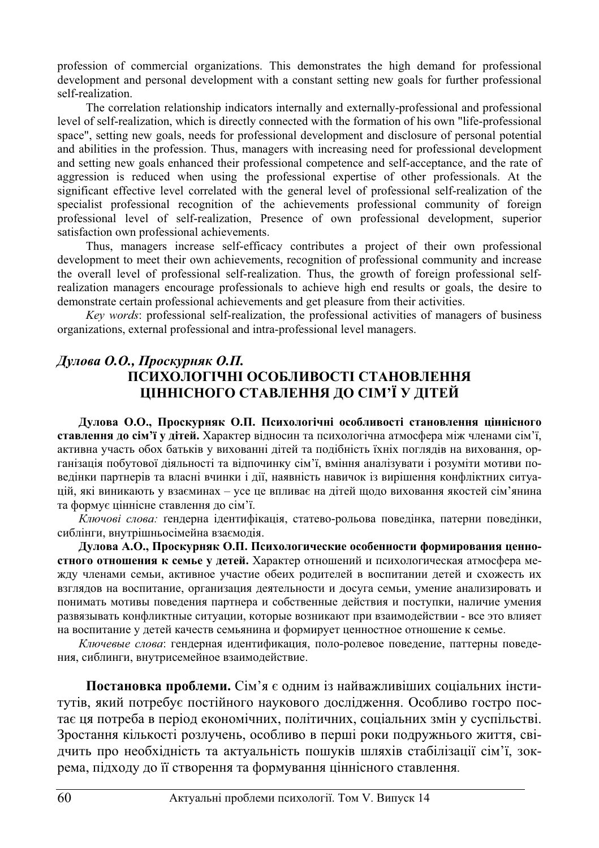profession of commercial organizations. This demonstrates the high demand for professional development and personal development with a constant setting new goals for further professional self-realization.

The correlation relationship indicators internally and externally-professional and professional level of self-realization, which is directly connected with the formation of his own "life-professional space", setting new goals, needs for professional development and disclosure of personal potential and abilities in the profession. Thus, managers with increasing need for professional development and setting new goals enhanced their professional competence and self-acceptance, and the rate of aggression is reduced when using the professional expertise of other professionals. At the significant effective level correlated with the general level of professional self-realization of the specialist professional recognition of the achievements professional community of foreign professional level of self-realization, Presence of own professional development, superior satisfaction own professional achievements.

Thus, managers increase self-efficacy contributes a project of their own professional development to meet their own achievements, recognition of professional community and increase the overall level of professional self-realization. Thus, the growth of foreign professional selfrealization managers encourage professionals to achieve high end results or goals, the desire to demonstrate certain professional achievements and get pleasure from their activities.

*Key words*: professional self-realization, the professional activities of managers of business organizations, external professional and intra-professional level managers.

## $\Lambda$ улова О.О., Проскурняк О.П. ПСИХОЛОГІЧНІ ОСОБЛИВОСТІ СТАНОВЛЕННЯ **ɐȱɇɇȱɋɇɈȽɈ ɋɌȺȼɅȿɇɇə ȾɈ ɋȱɆ'Ȳ ɍ ȾȱɌȿɃ**

Дулова О.О., Проскурняк О.П. Психологічні особливості становлення ціннісного **ставлення до сім'ї у дітей.** Характер відносин та психологічна атмосфера між членами сім'ї, активна участь обох батьків у вихованні дітей та подібність їхніх поглядів на виховання, організація побутової діяльності та відпочинку сім'ї, вміння аналізувати і розуміти мотиви поведінки партнерів та власні вчинки і дії, наявність навичок із вирішення конфліктних ситуацій, які виникають у взаєминах – усе це впливає на дітей щодо виховання якостей сім'янина та формує ціннісне ставлення до сім'ї.

Ключові слова: ґендерна ідентифікація, статево-рольова поведінка, патерни поведінки, сиблінги, внутрішньосімейна взаємодія.

Дулова А.О., Проскурняк О.П. Психологические особенности формирования ценностного отношения к семье у детей. Характер отношений и психологическая атмосфера между членами семьи, активное участие обеих родителей в воспитании детей и схожесть их взглядов на воспитание, организация деятельности и досуга семьи, умение анализировать и понимать мотивы поведения партнера и собственные действия и поступки, наличие умения развязывать конфликтные ситуации, которые возникают при взаимодействии - все это влияет на воспитание у детей качеств семьянина и формирует ценностное отношение к семье.

Ключевые слова: гендерная идентификация, поло-ролевое поведение, паттерны поведения, сиблинги, внутрисемейное взаимодействие.

Постановка проблеми. Сім'я є одним із найважливіших соціальних інститутів, який потребує постійного наукового дослідження. Особливо гостро постає ця потреба в період економічних, політичних, соціальних змін у суспільстві. Зростання кількості розлучень, особливо в перші роки подружнього життя, свідчить про необхідність та актуальність пошуків шляхів стабілізації сім'ї, зокрема, підходу до її створення та формування ціннісного ставлення.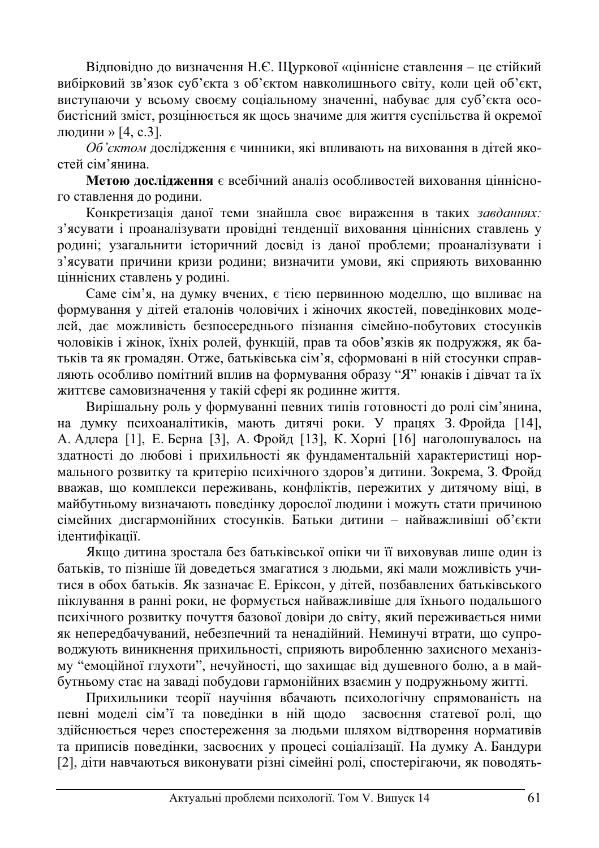Відповідно до визначення Н.Є. Щуркової «ціннісне ставлення – це стійкий вибірковий зв'язок суб'єкта з об'єктом навколишнього світу, коли цей об'єкт, виступаючи у всьому своєму соціальному значенні, набуває для суб'єкта особистісний зміст, розцінюється як щось значиме для життя суспільства й окремої людини » [4, с.3].

Об'єктом дослідження є чинники, які впливають на виховання в дітей якостей сім'янина

**Метою лослілження** є всебічний аналіз особливостей виховання піннісного ставлення до родини.

Конкретизація даної теми знайшла своє вираження в таких завданнях: з'ясувати і проаналізувати провідні тенденції виховання ціннісних ставлень у родині; узагальнити історичний досвід із даної проблеми; проаналізувати і з'ясувати причини кризи родини; визначити умови, які сприяють вихованню ціннісних ставлень у родині.

Саме сім'я, на думку вчених, є тією первинною моделлю, що впливає на формування у дітей еталонів чоловічих і жіночих якостей, поведінкових модедей, дає можливість безпосереднього пізнання сімейно-побутових стосунків чоловіків і жінок, їхніх ролей, функцій, прав та обов'язків як подружжя, як батьків та як громадян. Отже, батьківська сім'я, сформовані в ній стосунки справляють особливо помітний вплив на формування образу "Я" юнаків і дівчат та їх життєве самовизначення у такій сфері як родинне життя.

Вирішальну роль у формуванні певних типів готовності до ролі сім'янина, на думку психоаналітиків, мають дитячі роки. У працях З. Фройда [14], А. Адлера [1], Е. Берна [3], А. Фройд [13], К. Хорні [16] наголошувалось на здатності до любові і прихильності як фундаментальній характеристиці нормального розвитку та критерію психічного здоров'я дитини. Зокрема, З. Фройд вважав, що комплекси переживань, конфліктів, пережитих у дитячому віці, в майбутньому визначають поведінку дорослої людини і можуть стати причиною сімейних дисгармонійних стосунків. Батьки дитини – найважливіші об'єкти iлентифiканiï.

Якщо дитина зростала без батьківської опіки чи її виховував лише один із батьків, то пізніше їй доведеться змагатися з людьми, які мали можливість учитися в обох батьків. Як зазначає Е. Еріксон, у дітей, позбавлених батьківського піклування в ранні роки, не формується найважливіше для їхнього подальшого психічного розвитку почуття базової довіри до світу, який переживається ними як непередбачуваний, небезпечний та ненадійний. Неминучі втрати, що супроводжують виникнення прихильності, сприяють виробленню захисного механізму "емоційної глухоти", нечуйності, що захищає від душевного болю, а в майбутньому стає на заваді побудови гармонійних взаємин у подружньому житті.

Прихильники теорії научіння вбачають психологічну спрямованість на певні моделі сім'ї та поведінки в ній щодо засвоєння статевої ролі, що здійснюється через спостереження за людьми шляхом відтворення нормативів та приписів поведінки, засвоєних у процесі соціалізації. На думку А. Бандури [2], діти навчаються виконувати різні сімейні ролі, спостерігаючи, як поводять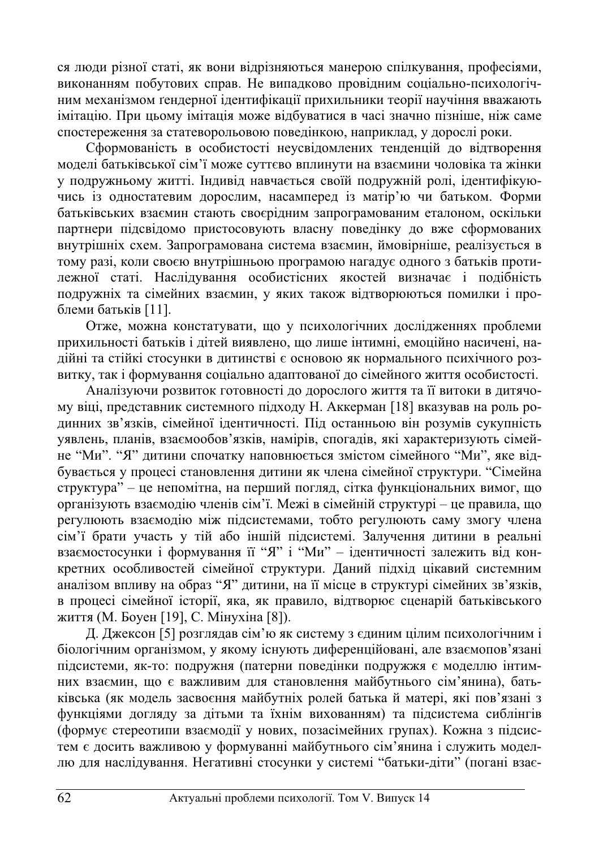ся люди різної статі, як вони відрізняються манерою спілкування, професіями. виконанням побутових справ. Не випадково провідним соціально-психологічним механізмом ґенлерної ілентифікації прихильники теорії научіння вважають iмiтацію. При шьому імітація може відбуватися в часі значно пізніше, ніж саме спостереження за статеворольовою поведінкою, наприклад, у дорослі роки.

Сформованість в особистості неусвідомлених тенденцій до відтворення моделі батьківської сім'ї може суттєво вплинути на взаємини чоловіка та жінки у подружньому житті. Індивід навчається своїй подружній ролі, ідентифікуючись із одностатевим дорослим, насамперед із матір'ю чи батьком. Форми батьківських взаємин стають своєрідним запрограмованим еталоном, оскільки партнери підсвідомо пристосовують власну поведінку до вже сформованих внутрішніх схем. Запрограмована система взаємин, ймовірніше, реалізується в тому разі, коли своєю внутрішньою програмою нагадує одного з батьків протилежної статі. Наслідування особистісних якостей визначає і подібність подружніх та сімейних взаємин, у яких також відтворюються помилки і проблеми батьків [11].

Отже, можна констатувати, що у психологічних дослідженнях проблеми прихильності батьків і дітей виявлено, що лише інтимні, емоційно насичені, надійні та стійкі стосунки в дитинстві є основою як нормального психічного розвитку, так і формування соціально алаптованої ло сімейного життя особистості.

Аналізуючи розвиток готовності до дорослого життя та її витоки в дитячому віці, представник системного підходу Н. Аккерман [18] вказував на роль родинних зв'язків, сімейної ідентичності. Під останньою він розумів сукупність уявлень, планів, взаємообов'язків, намірів, спогадів, які характеризують сімейне "Ми". "Я" дитини спочатку наповнюється змістом сімейного "Ми", яке відбувається у процесі становлення дитини як члена сімейної структури. "Сімейна  $\tau$ етруктура" – це непомітна, на перший погляд, сітка функціональних вимог, що opraнізують взаємодію членів сім'ї. Межі в сімейній структурі – це правила, що регулюють взаємодію між підсистемами, тобто регулюють саму змогу члена сім'ї брати участь у тій або іншій підсистемі. Залучення дитини в реальні взаємостосунки і формування її "Я" і "Ми" – ідентичності залежить від конкретних особливостей сімейної структури. Даний підхід цікавий системним аналізом впливу на образ "Я" дитини, на її місце в структурі сімейних зв'язків, в процесі сімейної історії, яка, як правило, відтворює сценарій батьківського життя (М. Боуен [19], С. Мінухіна [8]).

Д. Джексон [5] розглядав сім'ю як систему з єдиним цілим психологічним і біологічним організмом, у якому існують диференційовані, але взаємопов'язані підсистеми, як-то: подружня (патерни поведінки подружжя є моделлю інтимних взаємин, що є важливим для становлення майбутнього сім'янина), батьківська (як модель засвоєння майбутніх ролей батька й матері, які пов'язані з функціями догляду за дітьми та їхнім вихованням) та підсистема сиблінгів ль<br>(формує стереотипи взаємодії у нових, позасімейних групах). Кожна з підсистем є досить важливою у формуванні майбутнього сім'янина і служить моделлю для наслідування. Негативні стосунки у системі "батьки-діти" (погані взає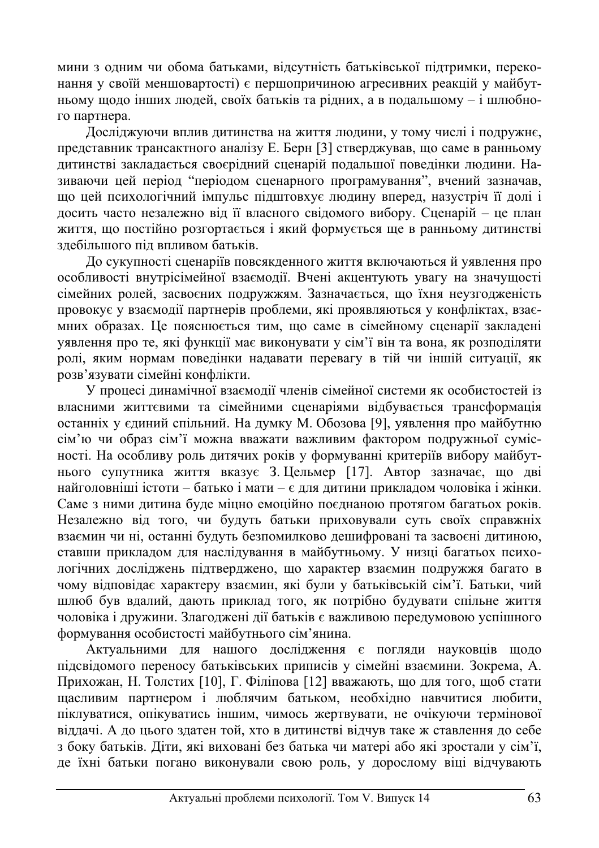мини з одним чи обома батьками, відсутність батьківської підтримки, переконання у своїй меншовартості) є першопричиною агресивних реакцій у майбутньому шоло інших людей, своїх батьків та рілних, а в полальшому – і шлюбного партнера.

Досліджуючи вплив дитинства на життя людини, у тому числі і подружнє, представник трансактного аналізу Е. Берн [3] стверджував, що саме в ранньому дитинстві закладається своєрідний сценарій подальшої поведінки людини. Називаючи цей період "періодом сценарного програмування", вчений зазначав, що цей психологічний імпульс підштовхує людину вперед, назустріч її долі і досить часто незалежно від її власного свідомого вибору. Сценарій - це план життя, що постійно розгортається і який формується ще в ранньому дитинстві злебільшого піл впливом батьків.

До сукупності сценаріїв повсякденного життя включаються й уявлення про особливості внутрісімейної взаємодії. Вчені акцентують увагу на значущості сімейних ролей, засвоєних подружжям. Зазначається, що їхня неузгодженість провокує у взаємодії партнерів проблеми, які проявляються у конфліктах, взаємних образах. Це пояснюється тим, що саме в сімейному сценарії закладені уявлення про те, які функції має виконувати у сім'ї він та вона, як розподіляти • ролі, яким нормам поведінки надавати перевагу в тій чи іншій ситуації, як розв'язувати сімейні конфлікти.

У процесі динамічної взаємодії членів сімейної системи як особистостей із власними життєвими та сімейними сценаріями відбувається трансформація останніх у єдиний спільний. На думку М. Обозова [9], уявлення про майбутню сім'ю чи образ сім'ї можна вважати важливим фактором подружньої сумісності. На особливу роль дитячих років у формуванні критеріїв вибору майбутнього супутника життя вказує 3. Цельмер [17]. Автор зазначає, що дві найголовніші істоти – батько і мати – є для дитини прикладом чоловіка і жінки. Саме з ними дитина буде міцно емоційно поєднаною протягом багатьох років. Незалежно від того, чи будуть батьки приховували суть своїх справжніх взаємин чи ні, останні будуть безпомилково дешифровані та засвоєні дитиною, ставши прикладом для наслідування в майбутньому. У низці багатьох психологічних досліджень підтверджено, що характер взаємин подружжя багато в чому відповідає характеру взаємин, які були у батьківській сім'ї. Батьки, чий шлюб був вдалий, дають приклад того, як потрібно будувати спільне життя чоловіка і дружини. Злагоджені дії батьків є важливою передумовою успішного формування особистості майбутнього сім'янина.

Актуальними для нашого дослідження є погляди науковців щодо підсвідомого переносу батьківських приписів у сімейні взаємини. Зокрема, А. Прихожан, Н. Толстих [10], Г. Філіпова [12] вважають, що для того, щоб стати щасливим партнером і люблячим батьком, необхідно навчитися любити, піклуватися, опікуватись іншим, чимось жертвувати, не очікуючи термінової віддачі. А до цього здатен той, хто в дитинстві відчув таке ж ставлення до себе з боку батьків. Діти, які виховані без батька чи матері або які зростали у сім'ї, де їхні батьки погано виконували свою роль, у дорослому віці відчувають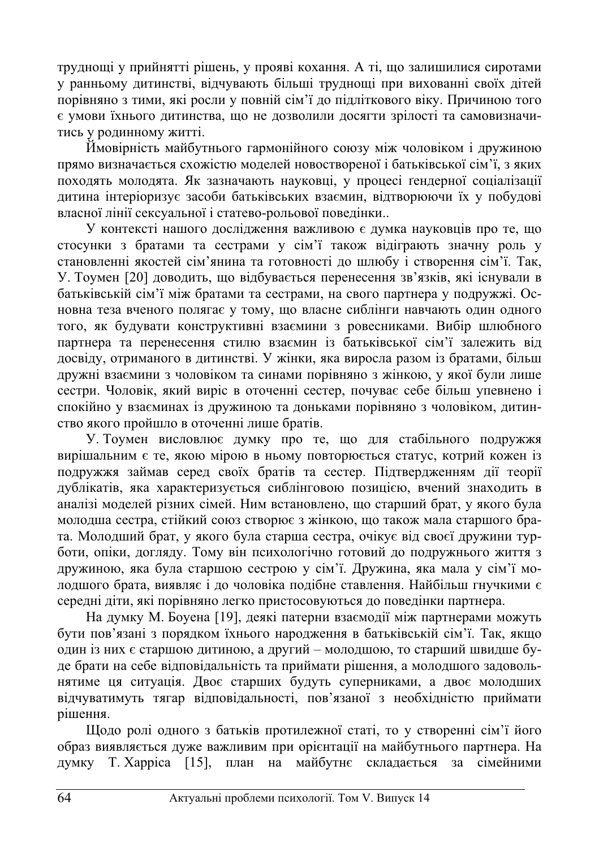труднощі у прийнятті рішень, у прояві кохання. А ті, що залишилися сиротами у ранньому дитинстві, відчувають більші труднощі при вихованні своїх дітей порівняно з тими, які росли у повній сім'ї ло підліткового віку. Причиною того є умови їхнього дитинства, що не дозволили досягти зрілості та самовизначитись у родинному житті.

ым<br>Имовірність майбутнього гармонійного союзу між чоловіком і дружиною прямо визначається схожістю моделей новоствореної і батьківської сім'ї, з яких походять молодята. Як зазначають науковці, у процесі ґендерної соціалізації дитина інтеріоризує засоби батьківських взаємин, відтворюючи їх у побудові и<br>власної лінії сексуальної і статево-рольової поведінки..

У контексті нашого дослідження важливою є думка науковців про те, що стосунки з братами та сестрами у сім'ї також відіграють значну роль у становленні якостей сім'янина та готовності до шлюбу і створення сім'ї. Так, У. Тоумен [20] доводить, що відбувається перенесення зв'язків, які існували в батьківській сім'ї між братами та сестрами, на свого партнера у подружжі. Основна теза вченого полягає у тому, що власне сиблінги навчають один одного того, як будувати конструктивні взаємини з ровесниками. Вибір шлюбного партнера та перенесення стилю взаємин із батьківської сім'ї залежить від досвіду, отриманого в дитинстві. У жінки, яка виросла разом із братами, більш дружні взаємини з чоловіком та синами порівняно з жінкою, у якої були лише сестри. Чоловік, який виріс в оточенні сестер, почуває себе більш упевнено і спокійно у взаєминах із дружиною та доньками порівняно з чоловіком, дитинство якого пройшло в оточенні лише братів.

У. Тоумен висловлює думку про те, що для стабільного подружжя вирішальним є те, якою мірою в ньому повторюється статус, котрий кожен із подружжя займав серед своїх братів та сестер. Підтвердженням дії теорії дублікатів, яка характеризується сиблінговою позицією, вчений знаходить в аналізі моделей різних сімей. Ним встановлено, що старший брат, у якого була молодша сестра, стійкий союз створює з жінкою, що також мала старшого брата. Молодший брат, у якого була старша сестра, очікує від своєї дружини турботи, опіки, догляду. Тому він психологічно готовий до подружнього життя з дружиною, яка була старшою сестрою у сім'ї. Дружина, яка мала у сім'ї молодшого брата, виявляє і до чоловіка подібне ставлення. Найбільш гнучкими є середні діти, які порівняно легко пристосовуються до поведінки партнера.

На думку М. Боуена [19], деякі патерни взаємодії між партнерами можуть бути пов'язані з порядком їхнього народження в батьківській сім'ї. Так, якщо один із них є старшою дитиною, а другий – молодшою, то старший швидше буде брати на себе відповідальність та приймати рішення, а молодшого задовольнятиме ця ситуація. Двоє старших будуть суперниками, а двоє молодших відчуватимуть тягар відповідальності, пов'язаної з необхідністю приймати **pi**шення.

Шодо ролі одного з батьків протилежної статі, то у створенні сім'ї його образ виявляється дуже важливим при орієнтації на майбутнього партнера. На думку Т. Харріса [15], план на майбутнє складається за сімейними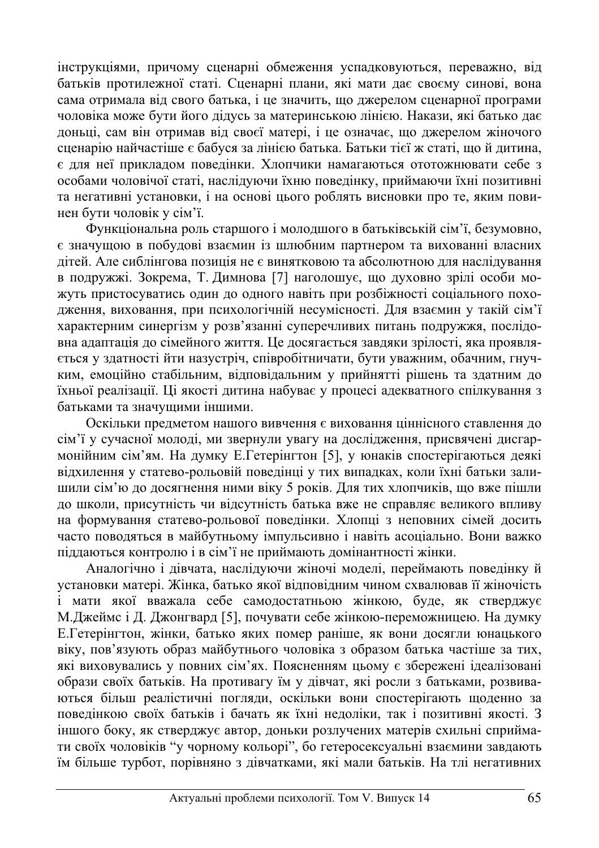інструкціями, причому сценарні обмеження успадковуються, переважно, від батьків протилежної статі. Сценарні плани, які мати дає своєму синові, вона сама отримала від свого батька, і це значить, що джерелом сценарної програми чоловіка може бути його дідусь за материнською лінією. Накази, які батько дає доньці, сам він отримав від своєї матері, і це означає, що джерелом жіночого сценарію найчастіше є бабуся за лінією батька. Батьки тієї ж статі, що й дитина,  $\epsilon$  для неї прикладом поведінки. Хлопчики намагаються ототожнювати себе з особами чоловічої статі, наслідуючи їхню поведінку, приймаючи їхні позитивні та негативні установки, і на основі цього роблять висновки про те, яким повинен бути чоловік у сім'ї.

функціональна роль старшого і молодшого в батьківській сім'ї, безумовно, є значущою в побудові взаємин із шлюбним партнером та вихованні власних дітей. Але сиблінгова позиція не є винятковою та абсолютною для наслідування в подружжі. Зокрема, Т. Димнова [7] наголошує, що духовно зрілі особи можуть пристосуватись один до одного навіть при розбіжності соціального походження, виховання, при психологічній несумісності. Для взаємин у такій сім'ї характерним синергізм у розв'язанні суперечливих питань подружжя, послідовна адаптація до сімейного життя. Це досягається завдяки зрілості, яка проявляється у здатності йти назустріч, співробітничати, бути уважним, обачним, гнучким, емоційно стабільним, відповідальним у прийнятті рішень та здатним до таньої реалізації. Ці якості дитина набуває у процесі адекватного спілкування з батьками та значущими іншими.

Оскільки предметом нашого вивчення є виховання ціннісного ставлення до сім'ї у сучасної молоді, ми звернули увагу на дослідження, присвячені дисгармонійним сім'ям. На думку Е.Гетерінгтон [5], у юнаків спостерігаються деякі відхилення у статево-рольовій поведінці у тих випадках, коли їхні батьки залишили сім'ю до досягнення ними віку 5 років. Для тих хлопчиків, що вже пішли до школи, присутність чи відсутність батька вже не справляє великого впливу на формування статево-рольової поведінки. Хлопці з неповних сімей досить часто поводяться в майбутньому імпульсивно і навіть асоціально. Вони важко піддаються контролю і в сім'ї не приймають домінантності жінки.

Аналогічно і дівчата, наслідуючи жіночі моделі, переймають поведінку й установки матері. Жінка, батько якої відповідним чином схвалював її жіночість :<br>i мати якої вважала себе самодостатньою жінкою, буде, як стверджує М. Джеймс і Д. Джонгвард [5], почувати себе жінкою-переможницею. На думку Е. Гетерінгтон, жінки, батько яких помер раніше, як вони досягли юнацького віку, пов'язують образ майбутнього чоловіка з образом батька частіше за тих, які виховувались у повних сім'ях. Поясненням цьому є збережені ідеалізовані образи своїх батьків. На противагу їм у дівчат, які росли з батьками, розвиваються більш реалістичні погляди, оскільки вони спостерігають щоденно за поведінкою своїх батьків і бачать як їхні недоліки, так і позитивні якості. З іншого боку, як стверджує автор, доньки розлучених матерів схильні сприймати своїх чоловіків "у чорному кольорі", бо гетеросексуальні взаємини завдають їм більше турбот, порівняно з дівчатками, які мали батьків. На тлі негативних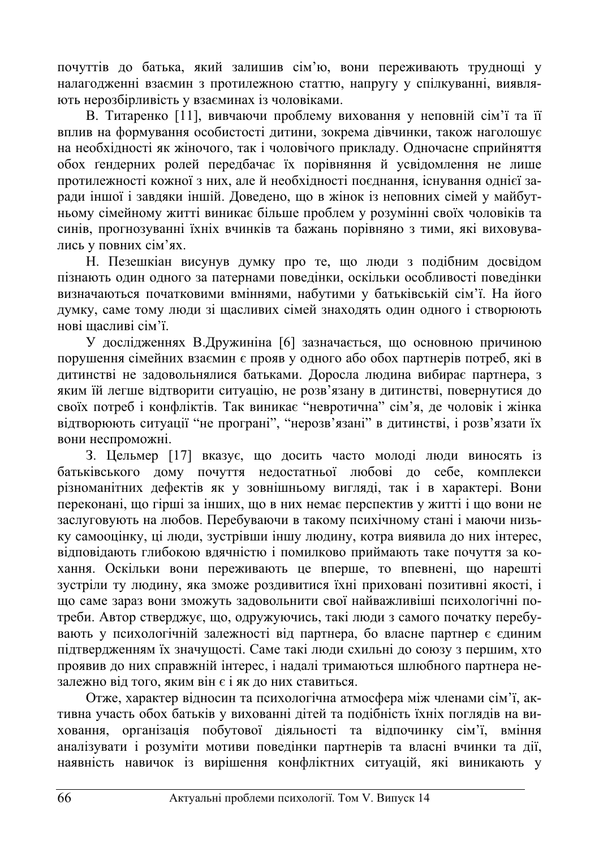почуттів до батька, який залишив сім'ю, вони переживають труднощі у налагодженні взаємин з протилежною статтю, напругу у спілкуванні, виявляють нерозбірливість у взаєминах із чоловіками.

В. Титаренко [11], вивчаючи проблему виховання у неповній сім'ї та її вплив на формування особистості дитини, зокрема дівчинки, також наголошує на необхідності як жіночого, так і чоловічого прикладу. Одночасне сприйняття обох гендерних ролей передбачає їх порівняння й усвідомлення не лише протилежності кожної з них, але й необхідності поєднання, існування однієї заради іншої і завдяки іншій. Доведено, що в жінок із неповних сімей у майбутньому сімейному житті виникає більше проблем у розумінні своїх чоловіків та синів, прогнозуванні їхніх вчинків та бажань порівняно з тими, які виховувались у повних сім'ях.

Н. Пезешкіан висунув думку про те, що люди з подібним досвідом пізнають один одного за патернами поведінки, оскільки особливості поведінки визначаються початковими вміннями, набутими у батьківській сім'ї. На його думку, саме тому люди зі щасливих сімей знаходять один одного і створюють HOBI HIACHUBI CIM'i

У дослідженнях В.Дружиніна [6] зазначається, що основною причиною порушення сімейних взаємин є прояв у одного або обох партнерів потреб, які в дитинстві не задовольнялися батьками. Доросла людина вибирає партнера, з яким їй легше відтворити ситуацію, не розв'язану в дитинстві, повернутися до своїх потреб і конфліктів. Так виникає "невротична" сім'я, де чоловік і жінка відтворюють ситуації "не програні", "нерозв'язані" в дитинстві, і розв'язати їх вони неспроможні.

3. Цельмер [17] вказує, що досить часто молоді люди виносять із батьківського дому почуття недостатньої любові до себе, комплекси різноманітних дефектів як у зовнішньому вигляді, так і в характері. Вони переконані, що гірші за інших, що в них немає перспектив у житті і що вони не заслуговують на любов. Перебуваючи в такому психічному стані і маючи низьку самооцінку, ці люди, зустрівши іншу людину, котра виявила до них інтерес, відповідають глибокою вдячністю і помилково приймають таке почуття за кохання. Оскільки вони переживають це вперше, то впевнені, що нарешті зустріли ту людину, яка зможе роздивитися їхні приховані позитивні якості, і що саме зараз вони зможуть задовольнити свої найважливіші психологічні потреби. Автор стверджує, що, одружуючись, такі люди з самого початку перебувають у психологічній залежності від партнера, бо власне партнер є єдиним підтвердженням їх значущості. Саме такі люди схильні до союзу з першим, хто проявив до них справжній інтерес, і надалі тримаються шлюбного партнера незалежно від того, яким він є і як до них ставиться.

Отже, характер відносин та психологічна атмосфера між членами сім'ї, активна участь обох батьків у вихованні дітей та подібність їхніх поглядів на виховання, організація побутової діяльності та відпочинку сім'ї, вміння аналізувати і розуміти мотиви поведінки партнерів та власні вчинки та дії, наявність навичок із вирішення конфліктних ситуацій, які виникають у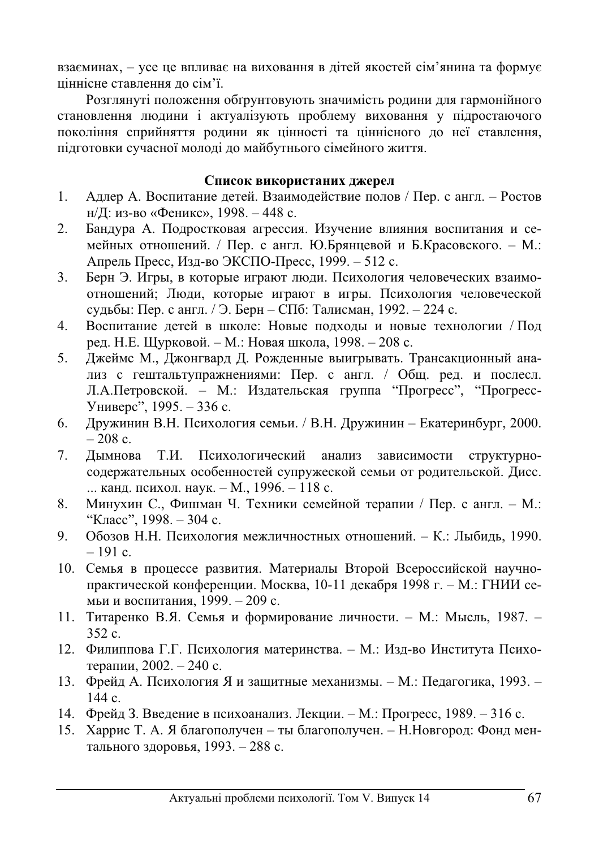взаєминах, – усе це впливає на виховання в дітей якостей сім'янина та формує ціннісне ставлення до сім'ї.

Розглянуті положення обґрунтовують значимість родини для гармонійного становлення людини і актуалізують проблему виховання у підростаючого покоління сприйняття родини як цінності та ціннісного до неї ставлення, підготовки сучасної молоді до майбутнього сімейного життя.

## Список використаних джерел

- 1. Адлер А. Воспитание детей. Взаимодействие полов / Пер. с англ. Ростов н/Л: из-во «Феникс», 1998. – 448 с.
- 2. Бандура А. Подростковая агрессия. Изучение влияния воспитания и семейных отношений. / Пер. с англ. Ю.Брянцевой и Б.Красовского. – М.: Апрель Пресс, Изд-во ЭКСПО-Пресс, 1999. – 512 с.
- 3. Берн Э. Игры, в которые играют люди. Психология человеческих взаимоотношений; Люди, которые играют в игры. Психология человеческой судьбы: Пер. с англ. / Э. Берн – СПб: Талисман, 1992. – 224 с.
- 4. Воспитание детей в школе: Новые подходы и новые технологии / Под ред. Н.Е. Щурковой. – М.: Новая школа, 1998. – 208 с.
- 5. Джеймс М., Джонгвард Д. Рожденные выигрывать. Трансакционный анализ с гештальтупражнениями: Пер. с англ. / Общ. ред. и послесл. Л.А.Петровской. – М.: Издательская группа "Прогресс", "Прогресс-Универс", 1995. – 336 с.
- 6. Дружинин В.Н. Психология семьи. / В.Н. Дружинин Екатеринбург, 2000.  $-208$  c.
- 7. Дымнова Т.И. Психологический анализ зависимости структурносодержательных особенностей супружеской семьи от родительской. Дисс. ... канд. психол. наук. – М., 1996. – 118 с.
- 8. Минухин С., Фишман Ч. Техники семейной терапии / Пер. с англ. М.: "Класс", 1998. – 304 с.
- 9. Обозов Н.Н. Психология межличностных отношений. К.: Лыбиль. 1990.  $-191 c.$
- 10. Семья в процессе развития. Материалы Второй Всероссийской научнопрактической конференции. Москва, 10-11 декабря 1998 г. – М.: ГНИИ семьи и воспитания, 1999. – 209 с.
- 11. Титаренко В.Я. Семья и формирование личности. М.: Мысль, 1987.  $352 c.$
- 12. Филиппова Г.Г. Психология материнства. М.: Изд-во Института Психотерапии, 2002. – 240 с.
- 13. Фрейд А. Психология Я и защитные механизмы. М.: Педагогика, 1993.  $144 c.$
- 14. Фрейд З. Введение в психоанализ. Лекции. М.: Прогресс, 1989. 316 с.
- 15. Харрис Т. А. Я благополучен ты благополучен. Н. Новгород: Фонд ментального здоровья, 1993. – 288 с.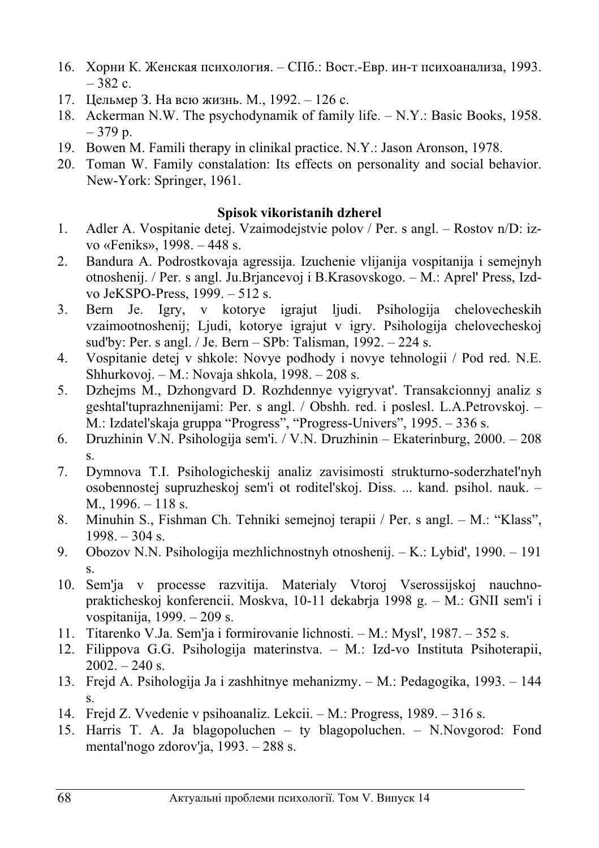- 16. Хорни К. Женская психология. СПб.: Вост.-Евр. ин-т психоанализа, 1993.  $-382$  c.
- 17. Шельмер З. На всю жизнь. М., 1992. 126 с.
- 18. Ackerman N.W. The psychodynamik of family life. N.Y.: Basic Books, 1958. – 379 p.
- 19. Bowen M. Famili therapy in clinikal practice. N.Y.: Jason Aronson, 1978.
- 20. Toman W. Family constalation: Its effects on personality and social behavior. New-York: Springer, 1961.

## **Spisok vikoristanih dzherel**

- 1. Adler A. Vospitanie detej. Vzaimodejstvie polov / Per. s angl. Rostov n/D: izvo «Feniks», 1998. – 448 s.
- 2. Bandura A. Podrostkovaja agressija. Izuchenie vlijanija vospitanija i semejnyh otnoshenij. / Per. s angl. Ju.Brjancevoj i B.Krasovskogo. – M.: Aprel' Press, Izdvo JeKSPO-Press, 1999. – 512 s.
- 3. Bern Je. Igry, v kotorye igrajut ljudi. Psihologija chelovecheskih vzaimootnoshenij; Ljudi, kotorye igrajut v igry. Psihologija chelovecheskoj sud'by: Per. s angl. / Je. Bern – SPb: Talisman, 1992. – 224 s.
- 4. Vospitanie detej v shkole: Novye podhody i novye tehnologii / Pod red. N.E. Shhurkovoj. – M.: Novaja shkola, 1998. – 208 s.
- 5. Dzhejms M., Dzhongvard D. Rozhdennye vyigryvat'. Transakcionnyj analiz s geshtal'tuprazhnenijami: Per. s angl. / Obshh. red. i poslesl. L.A.Petrovskoj. – M.: Izdatel'skaja gruppa "Progress", "Progress-Univers", 1995. – 336 s.
- 6. Druzhinin V.N. Psihologija sem'i. / V.N. Druzhinin Ekaterinburg, 2000. 208 s.
- 7. Dymnova T.I. Psihologicheskij analiz zavisimosti strukturno-soderzhatel'nyh osobennostej supruzheskoj sem'i ot roditel'skoj. Diss. ... kand. psihol. nauk. – M., 1996. – 118 s.
- 8. Minuhin S., Fishman Ch. Tehniki semejnoj terapii / Per. s angl. M.: "Klass",  $1998. - 304$  s.
- 9. Obozov N.N. Psihologija mezhlichnostnyh otnoshenij. K.: Lybid', 1990. 191 s.
- 10. Sem'ja v processe razvitija. Materialy Vtoroj Vserossijskoj nauchnoprakticheskoj konferencii. Moskva, 10-11 dekabrja 1998 g. – M.: GNII sem'i i vospitanija, 1999. – 209 s.
- 11. Titarenko V.Ja. Sem'ja i formirovanie lichnosti. M.: Mysl', 1987. 352 s.
- 12. Filippova G.G. Psihologija materinstva. M.: Izd-vo Instituta Psihoterapii,  $2002. - 240$  s.
- 13. Frejd A. Psihologija Ja i zashhitnye mehanizmy. M.: Pedagogika, 1993. 144 s.
- 14. Frejd Z. Vvedenie v psihoanaliz. Lekcii. M.: Progress, 1989. 316 s.
- 15. Harris T. A. Ja blagopoluchen ty blagopoluchen. N.Novgorod: Fond mental'nogo zdorov'ja, 1993. – 288 s.